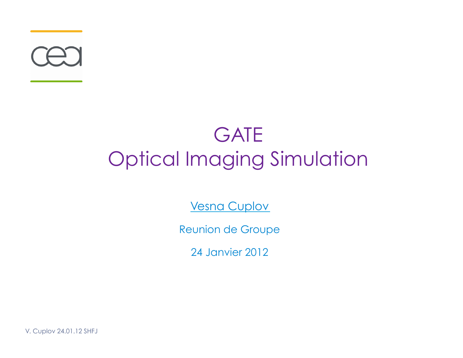

#### **GATE** Optical Imaging Simulation

Vesna Cuplov

Reunion de Groupe

24 Janvier 2012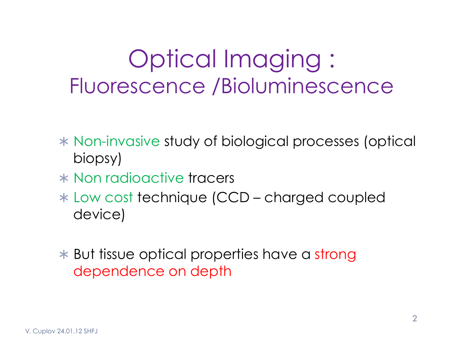#### Optical Imaging : Fluorescence /Bioluminescence

- Non-invasive study of biological processes (optical biopsy)
- \* Non radioactive tracers
- Low cost technique (CCD charged coupled device)
- **\*** But tissue optical properties have a strong dependence on depth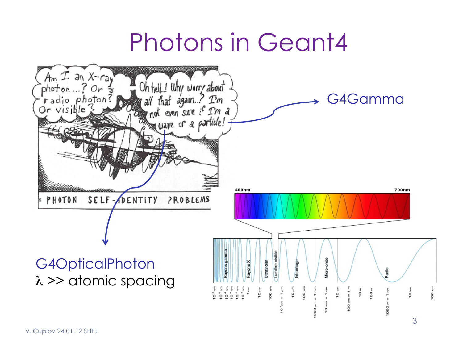### Photons in Geant4

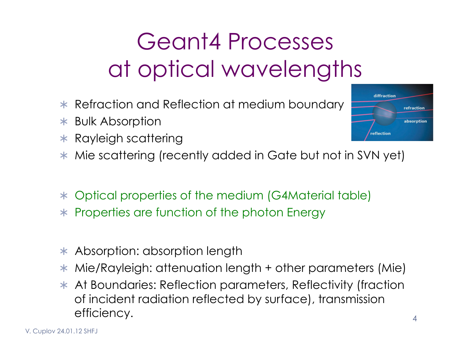### Geant4 Processes at optical wavelengths

- \* Refraction and Reflection at medium boundary
- Bulk Absorption
- $*$  Rayleigh scattering
- \* Mie scattering (recently added in Gate but not in SVN yet)
- Optical properties of the medium (G4Material table)
- \* Properties are function of the photon Energy
- \* Absorption: absorption length
- Mie/Rayleigh: attenuation length + other parameters (Mie)
- \* At Boundaries: Reflection parameters, Reflectivity (fraction of incident radiation reflected by surface), transmission efficiency.

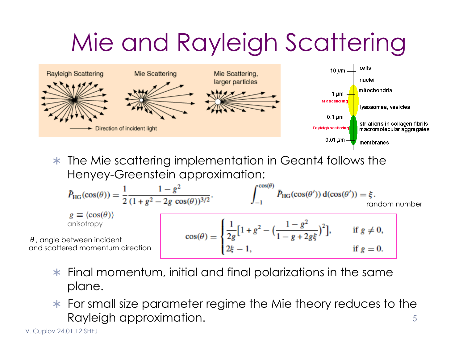# Mie and Rayleigh Scattering



\* The Mie scattering implementation in Geant4 follows the Henyey-Greenstein approximation:

$$
\tilde{P}_{HG}(\cos(\theta)) = \frac{1}{2} \frac{1 - g^2}{(1 + g^2 - 2g \cos(\theta))^{3/2}}.
$$
\n
$$
g \equiv \langle \cos(\theta) \rangle
$$
\n
$$
\text{onisotropy}
$$
\n
$$
\theta, \text{ angle between incident}
$$
\n
$$
\text{and scattered momentum direction}
$$
\n
$$
\text{or}(\theta) = \begin{cases}\n\frac{1}{2g} \left[1 + g^2 - \left(\frac{1 - g^2}{1 - g + 2g\xi}\right)^2\right], & \text{if } g \neq 0, \\
2g - 1, & \text{if } g = 0.\n\end{cases}
$$

- $*$  Final momentum, initial and final polarizations in the same plane.
- For small size parameter regime the Mie theory reduces to the Rayleigh approximation. 5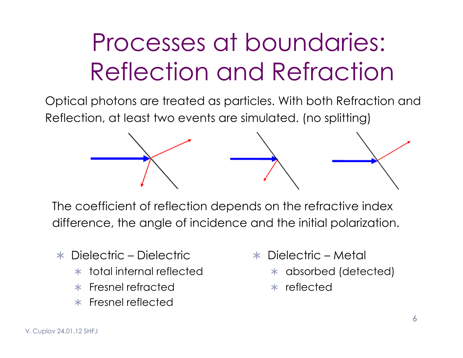## Processes at boundaries: Reflection and Refraction

Optical photons are treated as particles. With both Refraction and Reflection, at least two events are simulated. (no splitting)



The coefficient of reflection depends on the refractive index difference, the angle of incidence and the initial polarization.

- Dielectric Dielectric
	- total internal reflected
	- Fresnel refracted
	- $*$  Fresnel reflected
- Dielectric Metal
	- absorbed (detected)
	- reflected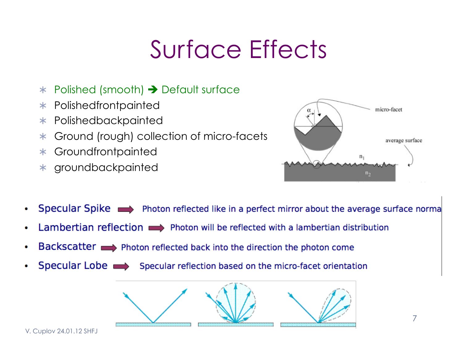## Surface Effects

- $*$  Polished (smooth)  $\rightarrow$  Default surface
- Polishedfrontpainted
- \* Polishedbackpainted
- Ground (rough) collection of micro-facets
- Groundfrontpainted
- groundbackpainted



- Specular Spike  $\longrightarrow$  Photon reflected like in a perfect mirror about the average surface norma
- Lambertian reflection  $\longrightarrow$  Photon will be reflected with a lambertian distribution
- Backscatter  $\longrightarrow$  Photon reflected back into the direction the photon come
- Specular Lobe  $\implies$  Specular reflection based on the micro-facet orientation

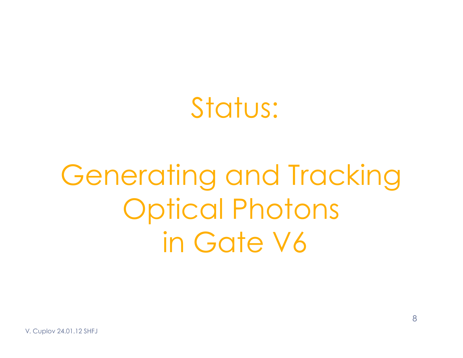## Status:

# Generating and Tracking Optical Photons in Gate V6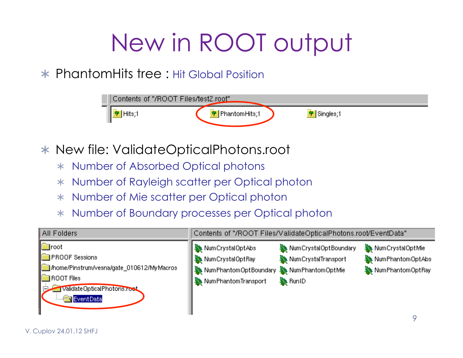# New in ROOT output

#### PhantomHits tree : Hit Global Position



- New file: ValidateOpticalPhotons.root
	- Number of Absorbed Optical photons
	- Number of Rayleigh scatter per Optical photon
	- Number of Mie scatter per Optical photon
	- Number of Boundary processes per Optical photon

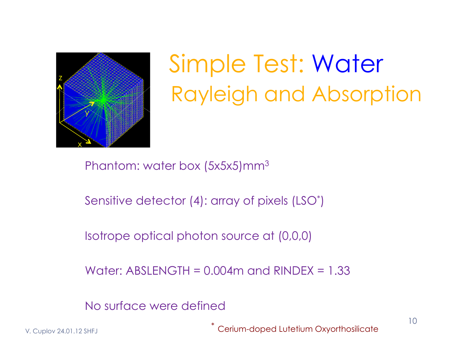

## Simple Test: Water Rayleigh and Absorption

Phantom: water box (5x5x5)mm3

Sensitive detector (4): array of pixels (LSO\* )

Isotrope optical photon source at (0,0,0)

Water:  $ABSLENGTH = 0.004m$  and  $RINDEX = 1.33$ 

No surface were defined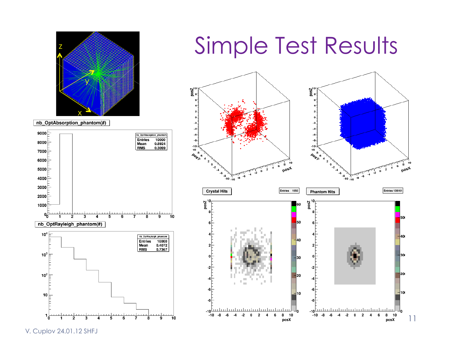



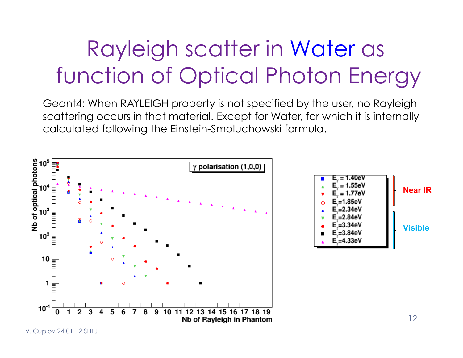#### Rayleigh scatter in Water as function of Optical Photon Energy

Geant4: When RAYLEIGH property is not specified by the user, no Rayleigh scattering occurs in that material. Except for Water, for which it is internally calculated following the Einstein-Smoluchowski formula.

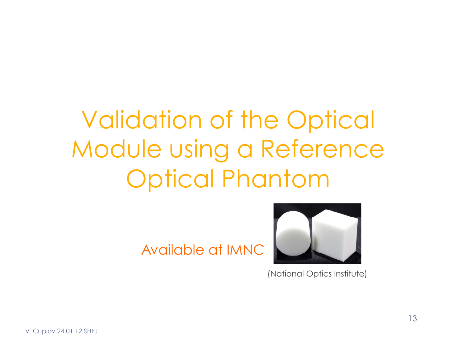## Validation of the Optical Module using a Reference Optical Phantom

Available at IMNC



(National Optics Institute)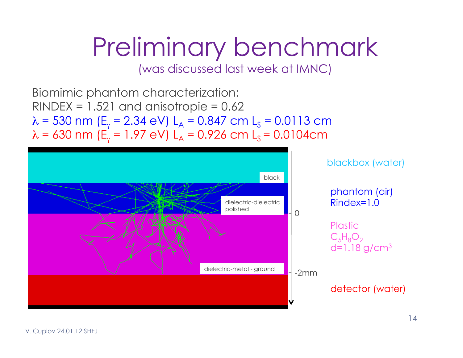# Preliminary benchmark

(was discussed last week at IMNC)

Biomimic phantom characterization:  $RINDER = 1.521$  and anisotropie = 0.62  $\lambda$  = 530 nm (E<sub>y</sub> = 2.34 eV) L<sub>A</sub> = 0.847 cm L<sub>S</sub> = 0.0113 cm  $\lambda$  = 630 nm (E<sub>y</sub> = 1.97 eV) L<sub>A</sub> = 0.926 cm L<sub>S</sub> = 0.0104cm

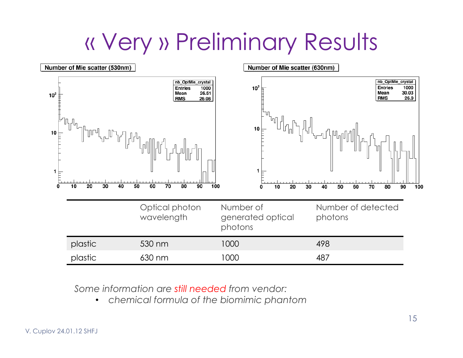#### « Very » Preliminary Results



*Some information are still needed from vendor:* 

• *chemical formula of the biomimic phantom*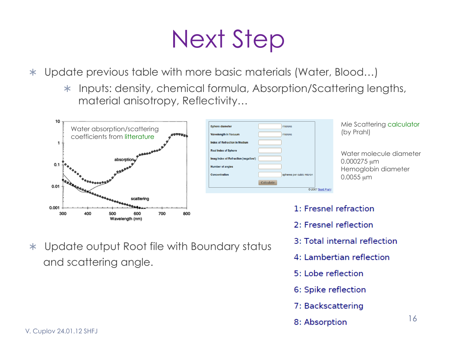### Next Step

Update previous table with more basic materials (Water, Blood…)

\* Inputs: density, chemical formula, Absorption/Scattering lengths, material anisotropy, Reflectivity…



and scattering angle.

Update output Root file with Boundary status



Mie Scattering calculator

Water molecule diameter 0.000275 µm Hemoglobin diameter 0.0055 µm

- 1: Fresnel refraction
	- 2: Fresnel reflection
	- 3: Total internal reflection
	- 4: Lambertian reflection
	- 5: Lobe reflection
	- 6: Spike reflection
	- 7: Backscattering
	- 8: Absorption

16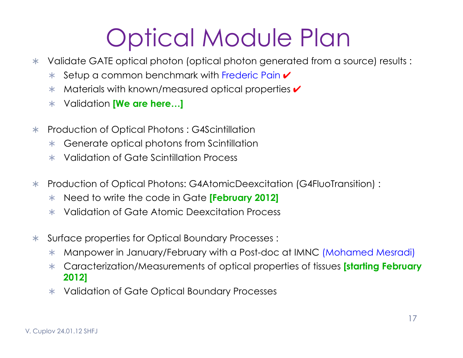## Optical Module Plan

- Validate GATE optical photon (optical photon generated from a source) results :
	- **★ Setup a common benchmark with Frederic Pain ✔**
	- $*$  Materials with known/measured optical properties  $\checkmark$
	- Validation **[We are here…]**
- Production of Optical Photons : G4Scintillation
	- \* Generate optical photons from Scintillation
	- Validation of Gate Scintillation Process
- Production of Optical Photons: G4AtomicDeexcitation (G4FluoTransition) :
	- Need to write the code in Gate **[February 2012]**
	- Validation of Gate Atomic Deexcitation Process
- Surface properties for Optical Boundary Processes :
	- Manpower in January/February with a Post-doc at IMNC (Mohamed Mesradi)
	- Caracterization/Measurements of optical properties of tissues **[starting February 2012]**
	- \* Validation of Gate Optical Boundary Processes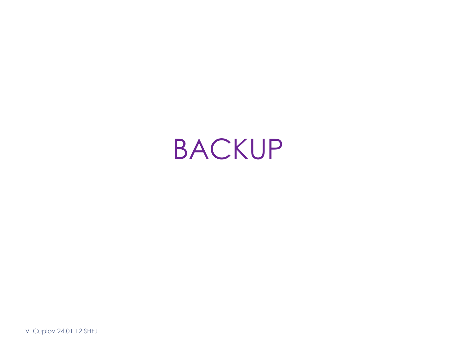## BACKUP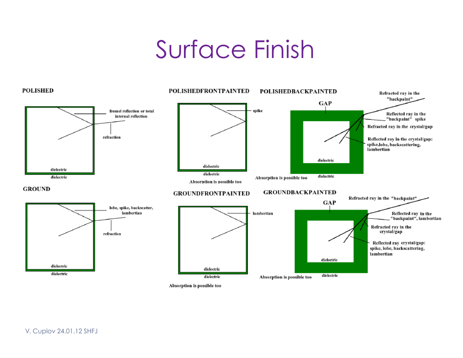### Surface Finish



Absorption is possible too